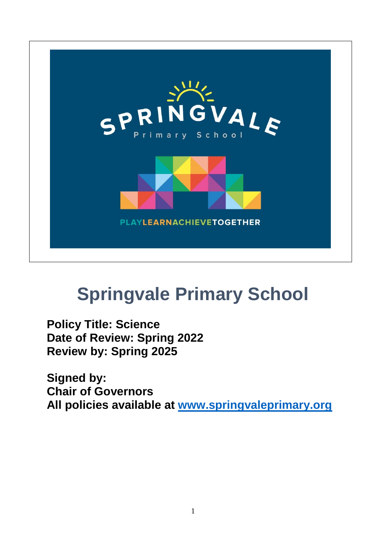

# **Springvale Primary School**

**Policy Title: Science Date of Review: Spring 2022 Review by: Spring 2025**

**Signed by: Chair of Governors All policies available at [www.springvaleprimary.org](http://www.springvaleprimary.org/)**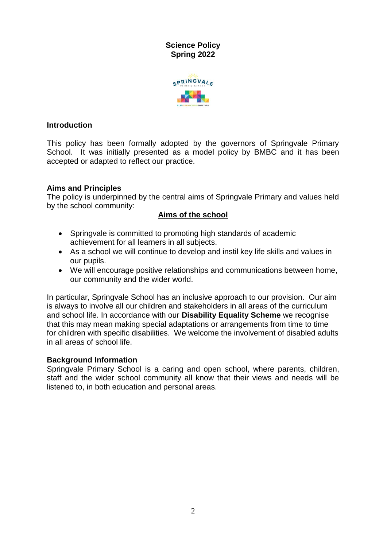

**Science Policy Spring 2022**

#### **Introduction**

This policy has been formally adopted by the governors of Springvale Primary School. It was initially presented as a model policy by BMBC and it has been accepted or adapted to reflect our practice.

#### **Aims and Principles**

The policy is underpinned by the central aims of Springvale Primary and values held by the school community:

## **Aims of the school**

- Springvale is committed to promoting high standards of academic achievement for all learners in all subjects.
- As a school we will continue to develop and instil key life skills and values in our pupils.
- We will encourage positive relationships and communications between home, our community and the wider world.

In particular, Springvale School has an inclusive approach to our provision. Our aim is always to involve all our children and stakeholders in all areas of the curriculum and school life. In accordance with our **Disability Equality Scheme** we recognise that this may mean making special adaptations or arrangements from time to time for children with specific disabilities. We welcome the involvement of disabled adults in all areas of school life.

#### **Background Information**

Springvale Primary School is a caring and open school, where parents, children, staff and the wider school community all know that their views and needs will be listened to, in both education and personal areas.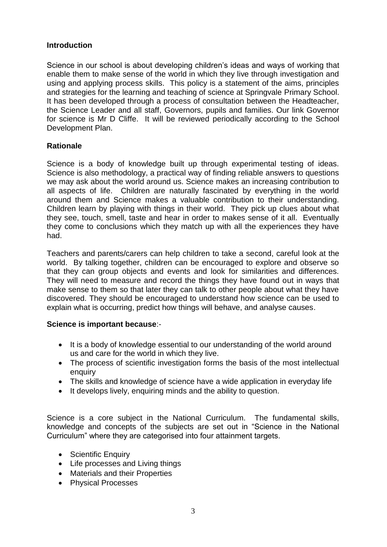## **Introduction**

Science in our school is about developing children's ideas and ways of working that enable them to make sense of the world in which they live through investigation and using and applying process skills. This policy is a statement of the aims, principles and strategies for the learning and teaching of science at Springvale Primary School. It has been developed through a process of consultation between the Headteacher, the Science Leader and all staff, Governors, pupils and families. Our link Governor for science is Mr D Cliffe. It will be reviewed periodically according to the School Development Plan.

## **Rationale**

Science is a body of knowledge built up through experimental testing of ideas. Science is also methodology, a practical way of finding reliable answers to questions we may ask about the world around us. Science makes an increasing contribution to all aspects of life. Children are naturally fascinated by everything in the world around them and Science makes a valuable contribution to their understanding. Children learn by playing with things in their world. They pick up clues about what they see, touch, smell, taste and hear in order to makes sense of it all. Eventually they come to conclusions which they match up with all the experiences they have had.

Teachers and parents/carers can help children to take a second, careful look at the world. By talking together, children can be encouraged to explore and observe so that they can group objects and events and look for similarities and differences. They will need to measure and record the things they have found out in ways that make sense to them so that later they can talk to other people about what they have discovered. They should be encouraged to understand how science can be used to explain what is occurring, predict how things will behave, and analyse causes.

#### **Science is important because**:-

- It is a body of knowledge essential to our understanding of the world around us and care for the world in which they live.
- The process of scientific investigation forms the basis of the most intellectual enquiry
- The skills and knowledge of science have a wide application in everyday life
- It develops lively, enquiring minds and the ability to question.

Science is a core subiect in the National Curriculum. The fundamental skills, knowledge and concepts of the subjects are set out in "Science in the National Curriculum" where they are categorised into four attainment targets.

- Scientific Enquiry
- Life processes and Living things
- Materials and their Properties
- Physical Processes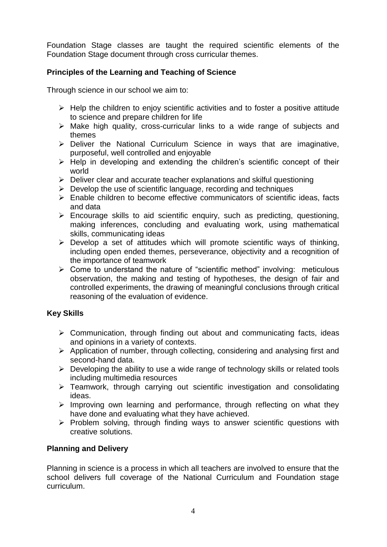Foundation Stage classes are taught the required scientific elements of the Foundation Stage document through cross curricular themes.

## **Principles of the Learning and Teaching of Science**

Through science in our school we aim to:

- $\triangleright$  Help the children to enjoy scientific activities and to foster a positive attitude to science and prepare children for life
- $\triangleright$  Make high quality, cross-curricular links to a wide range of subjects and themes
- $\triangleright$  Deliver the National Curriculum Science in ways that are imaginative, purposeful, well controlled and enjoyable
- $\triangleright$  Help in developing and extending the children's scientific concept of their world
- $\triangleright$  Deliver clear and accurate teacher explanations and skilful questioning
- $\triangleright$  Develop the use of scientific language, recording and techniques
- $\triangleright$  Enable children to become effective communicators of scientific ideas, facts and data
- $\triangleright$  Encourage skills to aid scientific enquiry, such as predicting, questioning, making inferences, concluding and evaluating work, using mathematical skills, communicating ideas
- $\triangleright$  Develop a set of attitudes which will promote scientific ways of thinking, including open ended themes, perseverance, objectivity and a recognition of the importance of teamwork
- $\triangleright$  Come to understand the nature of "scientific method" involving: meticulous observation, the making and testing of hypotheses, the design of fair and controlled experiments, the drawing of meaningful conclusions through critical reasoning of the evaluation of evidence.

## **Key Skills**

- $\triangleright$  Communication, through finding out about and communicating facts, ideas and opinions in a variety of contexts.
- $\triangleright$  Application of number, through collecting, considering and analysing first and second-hand data.
- $\triangleright$  Developing the ability to use a wide range of technology skills or related tools including multimedia resources
- $\triangleright$  Teamwork, through carrying out scientific investigation and consolidating ideas.
- $\triangleright$  Improving own learning and performance, through reflecting on what they have done and evaluating what they have achieved.
- $\triangleright$  Problem solving, through finding ways to answer scientific questions with creative solutions.

#### **Planning and Delivery**

Planning in science is a process in which all teachers are involved to ensure that the school delivers full coverage of the National Curriculum and Foundation stage curriculum.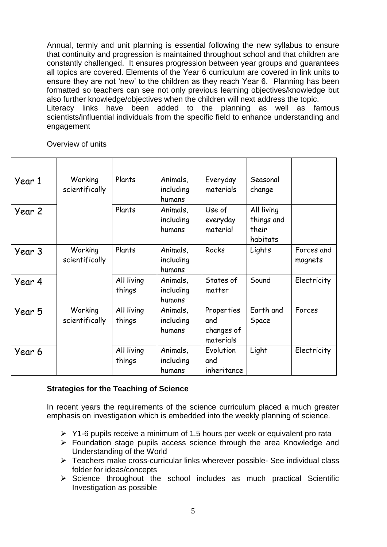Annual, termly and unit planning is essential following the new syllabus to ensure that continuity and progression is maintained throughout school and that children are constantly challenged. It ensures progression between year groups and guarantees all topics are covered. Elements of the Year 6 curriculum are covered in link units to ensure they are not 'new' to the children as they reach Year 6. Planning has been formatted so teachers can see not only previous learning objectives/knowledge but also further knowledge/objectives when the children will next address the topic. Literacy links have been added to the planning as well as famous scientists/influential individuals from the specific field to enhance understanding and engagement

#### Overview of units

| Year 1 | Working<br>scientifically | Plants               | Animals,<br>including<br>humans | Everyday<br>materials                        | Seasonal<br>change                            |                       |
|--------|---------------------------|----------------------|---------------------------------|----------------------------------------------|-----------------------------------------------|-----------------------|
| Year 2 |                           | Plants               | Animals,<br>including<br>humans | Use of<br>everyday<br>material               | All living<br>things and<br>their<br>habitats |                       |
| Year 3 | Working<br>scientifically | Plants               | Animals,<br>including<br>humans | Rocks                                        | Lights                                        | Forces and<br>magnets |
| Year 4 |                           | All living<br>things | Animals,<br>including<br>humans | States of<br>matter                          | Sound                                         | Electricity           |
| Year 5 | Working<br>scientifically | All living<br>things | Animals,<br>including<br>humans | Properties<br>and<br>changes of<br>materials | Earth and<br>Space                            | Forces                |
| Year 6 |                           | All living<br>things | Animals,<br>including<br>humans | Evolution<br>and<br>inheritance              | Light                                         | Electricity           |

#### **Strategies for the Teaching of Science**

In recent years the requirements of the science curriculum placed a much greater emphasis on investigation which is embedded into the weekly planning of science.

- $\triangleright$  Y1-6 pupils receive a minimum of 1.5 hours per week or equivalent pro rata
- Foundation stage pupils access science through the area Knowledge and Understanding of the World
- Teachers make cross-curricular links wherever possible- See individual class folder for ideas/concepts
- $\triangleright$  Science throughout the school includes as much practical Scientific Investigation as possible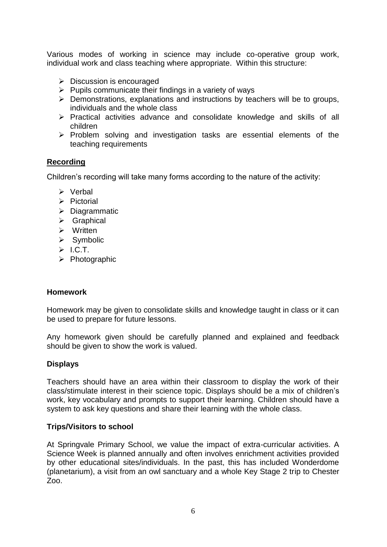Various modes of working in science may include co-operative group work, individual work and class teaching where appropriate. Within this structure:

- $\triangleright$  Discussion is encouraged
- $\triangleright$  Pupils communicate their findings in a variety of ways
- $\triangleright$  Demonstrations, explanations and instructions by teachers will be to groups, individuals and the whole class
- $\triangleright$  Practical activities advance and consolidate knowledge and skills of all children
- $\triangleright$  Problem solving and investigation tasks are essential elements of the teaching requirements

## **Recording**

Children's recording will take many forms according to the nature of the activity:

- > Verbal
- $\triangleright$  Pictorial
- $\triangleright$  Diagrammatic
- $\triangleright$  Graphical
- $\triangleright$  Written
- $\triangleright$  Symbolic
- $>$  I.C.T.
- $\triangleright$  Photographic

#### **Homework**

Homework may be given to consolidate skills and knowledge taught in class or it can be used to prepare for future lessons.

Any homework given should be carefully planned and explained and feedback should be given to show the work is valued.

#### **Displays**

Teachers should have an area within their classroom to display the work of their class/stimulate interest in their science topic. Displays should be a mix of children's work, key vocabulary and prompts to support their learning. Children should have a system to ask key questions and share their learning with the whole class.

#### **Trips/Visitors to school**

At Springvale Primary School, we value the impact of extra-curricular activities. A Science Week is planned annually and often involves enrichment activities provided by other educational sites/individuals. In the past, this has included Wonderdome (planetarium), a visit from an owl sanctuary and a whole Key Stage 2 trip to Chester Zoo.